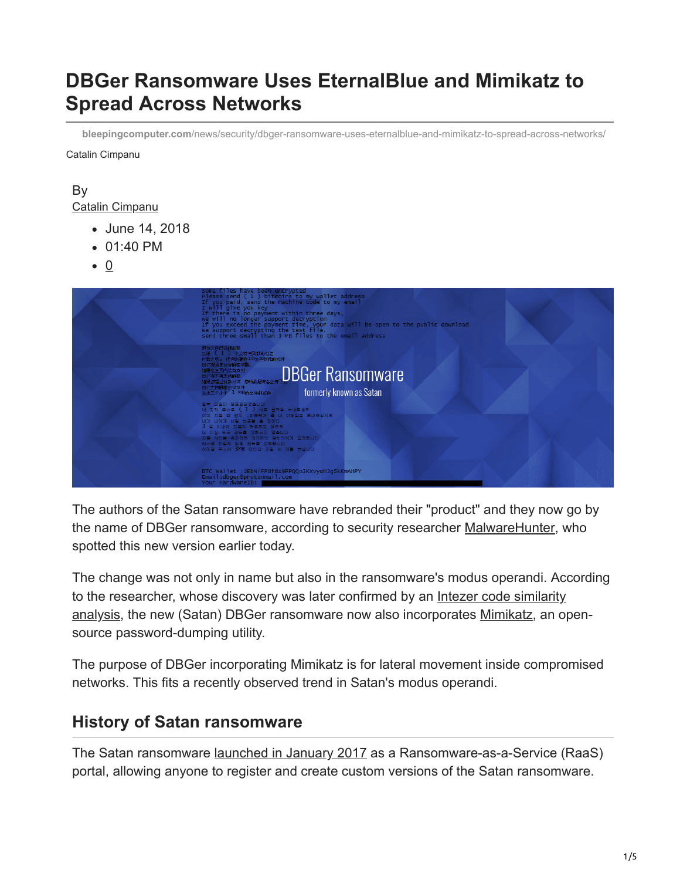# **DBGer Ransomware Uses EternalBlue and Mimikatz to Spread Across Networks**

**bleepingcomputer.com**[/news/security/dbger-ransomware-uses-eternalblue-and-mimikatz-to-spread-across-networks/](https://www.bleepingcomputer.com/news/security/dbger-ransomware-uses-eternalblue-and-mimikatz-to-spread-across-networks/)

Catalin Cimpanu

#### By [Catalin Cimpanu](https://www.bleepingcomputer.com/author/catalin-cimpanu/)

- June 14, 2018
- 01:40 PM
- $\bullet$  0



The authors of the Satan ransomware have rebranded their "product" and they now go by the name of DBGer ransomware, according to security researcher [MalwareHunter,](https://twitter.com/malwrhunterteam) who spotted this new version earlier today.

The change was not only in name but also in the ransomware's modus operandi. According to the researcher, whose discovery was later confirmed by an Intezer code similarity [analysis, the new \(Satan\) DBGer ransomware now also incorporates Mimikatz, an op](https://analyze.intezer.com/#/analyses/34e2794d-9e8a-4a29-95a5-6d5f02789a8e)ensource password-dumping utility.

The purpose of DBGer incorporating Mimikatz is for lateral movement inside compromised networks. This fits a recently observed trend in Satan's modus operandi.

### **History of Satan ransomware**

The Satan ransomware [launched in January 2017](https://www.bleepingcomputer.com/news/security/new-satan-ransomware-available-through-a-ransomware-as-a-service-/) as a Ransomware-as-a-Service (RaaS) portal, allowing anyone to register and create custom versions of the Satan ransomware.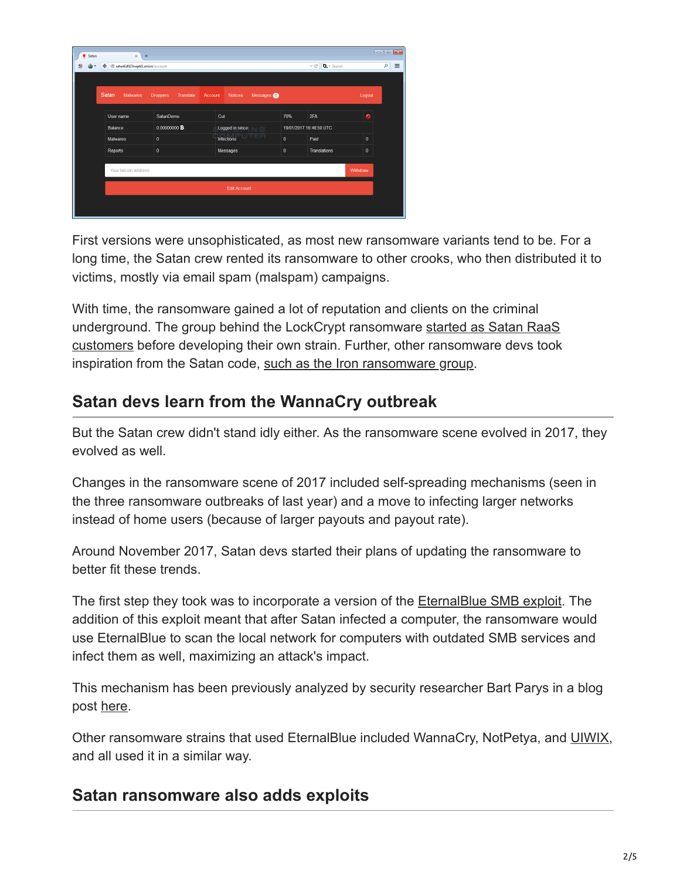| Satan<br>۰ | $\times$<br>$\pm$              |                              |         |                           |                   |                         |                          |              | $\overline{\phantom{a}}$ $\overline{\phantom{a}}$ $\overline{\phantom{a}}$ $\overline{\phantom{a}}$ |          |
|------------|--------------------------------|------------------------------|---------|---------------------------|-------------------|-------------------------|--------------------------|--------------|-----------------------------------------------------------------------------------------------------|----------|
| $S_{l}$    | satan6dll23napb5.onion/account |                              |         |                           |                   |                         | $\vee$ C<br>$D$ . Search |              | م                                                                                                   | $\equiv$ |
|            |                                |                              |         |                           |                   |                         |                          |              |                                                                                                     |          |
|            | Satan<br><b>Malwares</b>       | <b>Droppers</b><br>Translate | Account | <b>Notices</b>            | Messages <b>O</b> |                         |                          | Logout       |                                                                                                     |          |
|            | User name                      | <b>SatanDemo</b>             |         | Cut                       |                   | 70%                     | 2FA                      | $\bullet$    |                                                                                                     |          |
|            | Balance                        | 0.000000000                  |         | Logged in since<br>$\Box$ |                   | 19/01/2017 16:48:50 UTC |                          |              |                                                                                                     |          |
|            | <b>Malwares</b>                | $\mathbf{0}$                 |         | TER<br><b>Infections</b>  |                   | $\mathbf{0}$            | Paid                     | $\mathbf{0}$ |                                                                                                     |          |
|            | <b>Reports</b>                 | $\bf{0}$                     |         | Messages                  |                   | $\bf{0}$                | <b>Translations</b>      | $\bf{0}$     |                                                                                                     |          |
|            | Your bitcoin address           |                              |         |                           |                   |                         |                          | Withdraw     |                                                                                                     |          |
|            | <b>Edit Account</b>            |                              |         |                           |                   |                         |                          |              |                                                                                                     |          |
|            |                                |                              |         |                           |                   |                         |                          |              |                                                                                                     |          |

First versions were unsophisticated, as most new ransomware variants tend to be. For a long time, the Satan crew rented its ransomware to other crooks, who then distributed it to victims, mostly via email spam (malspam) campaigns.

With time, the ransomware gained a lot of reputation and clients on the criminal [underground. The group behind the LockCrypt ransomware started as Satan RaaS](https://www.bleepingcomputer.com/news/security/lockcrypt-ransomware-crew-started-via-satan-raas-now-deploying-their-own-strain/) customers before developing their own strain. Further, other ransomware devs took inspiration from the Satan code, [such as the Iron ransomware group.](https://bartblaze.blogspot.com/2018/04/maktub-ransomware-possibly-rebranded-as.html)

## **Satan devs learn from the WannaCry outbreak**

But the Satan crew didn't stand idly either. As the ransomware scene evolved in 2017, they evolved as well.

Changes in the ransomware scene of 2017 included self-spreading mechanisms (seen in the three ransomware outbreaks of last year) and a move to infecting larger networks instead of home users (because of larger payouts and payout rate).

Around November 2017, Satan devs started their plans of updating the ransomware to better fit these trends.

The first step they took was to incorporate a version of the [EternalBlue SMB exploit.](https://en.wikipedia.org/wiki/EternalBlue) The addition of this exploit meant that after Satan infected a computer, the ransomware would use EternalBlue to scan the local network for computers with outdated SMB services and infect them as well, maximizing an attack's impact.

This mechanism has been previously analyzed by security researcher Bart Parys in a blog post [here](https://bartblaze.blogspot.com/2018/04/satan-ransomware-adds-eternalblue.html).

Other ransomware strains that used EternalBlue included WannaCry, NotPetya, and [UIWIX](https://www.bleepingcomputer.com/news/security/uiwix-ransomware-using-eternalblue-smb-exploit-to-infect-victims/), and all used it in a similar way.

### **Satan ransomware also adds exploits**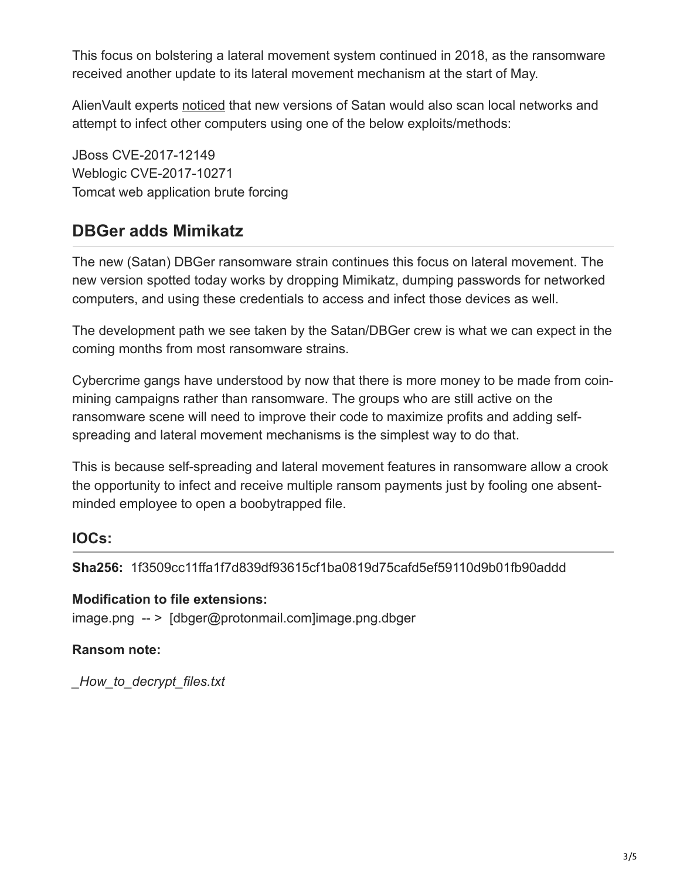This focus on bolstering a lateral movement system continued in 2018, as the ransomware received another update to its lateral movement mechanism at the start of May.

AlienVault experts [noticed](https://www.alienvault.com/blogs/labs-research/satan-ransomware-spawns-new-methods-to-spread) that new versions of Satan would also scan local networks and attempt to infect other computers using one of the below exploits/methods:

JBoss CVE-2017-12149 Weblogic CVE-2017-10271 Tomcat web application brute forcing

## **DBGer adds Mimikatz**

The new (Satan) DBGer ransomware strain continues this focus on lateral movement. The new version spotted today works by dropping Mimikatz, dumping passwords for networked computers, and using these credentials to access and infect those devices as well.

The development path we see taken by the Satan/DBGer crew is what we can expect in the coming months from most ransomware strains.

Cybercrime gangs have understood by now that there is more money to be made from coinmining campaigns rather than ransomware. The groups who are still active on the ransomware scene will need to improve their code to maximize profits and adding selfspreading and lateral movement mechanisms is the simplest way to do that.

This is because self-spreading and lateral movement features in ransomware allow a crook the opportunity to infect and receive multiple ransom payments just by fooling one absentminded employee to open a boobytrapped file.

#### **IOCs:**

**Sha256:** 1f3509cc11ffa1f7d839df93615cf1ba0819d75cafd5ef59110d9b01fb90addd

#### **Modification to file extensions:**

image.png -- > [dbger@protonmail.com]image.png.dbger

#### **Ransom note:**

*\_How\_to\_decrypt\_files.txt*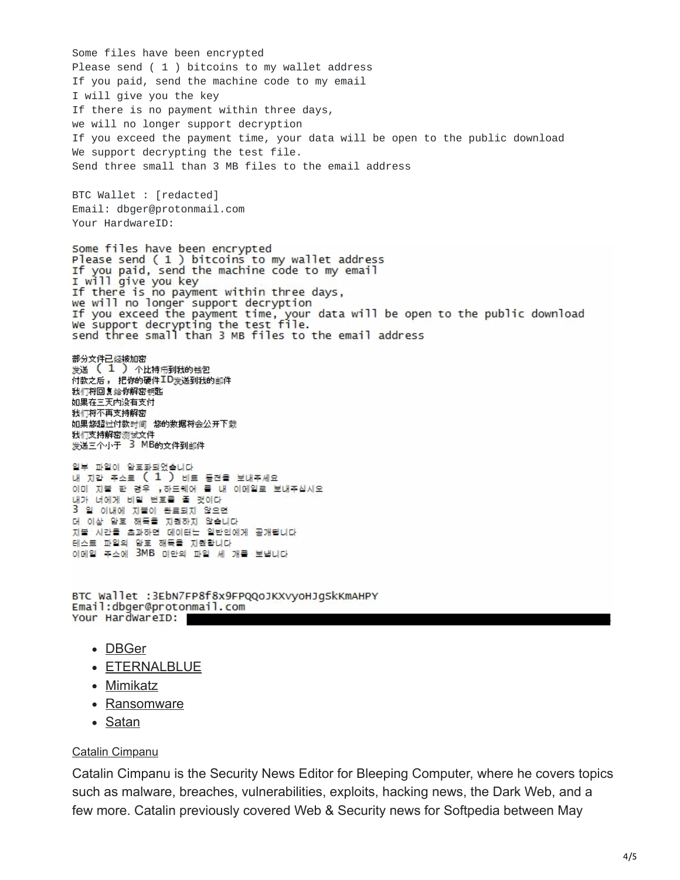Some files have been encrypted Please send ( 1 ) bitcoins to my wallet address If you paid, send the machine code to my email I will give you the key If there is no payment within three days, we will no longer support decryption If you exceed the payment time, your data will be open to the public download We support decrypting the test file. Send three small than 3 MB files to the email address BTC Wallet : [redacted] Email: dbger@protonmail.com Your HardwareID: Some files have been encrypted Please send ( 1 ) bitcoins to my wallet address If you paid, send the machine code to my email I will give you key<br>If there is no payment within three days,<br>we will no longer support decryption<br>we will no longer support decryption If you exceed the payment time, your data will be open to the public download<br>We support decrypting the test file.<br>send three small than 3 MB files to the email address 部分文件已经被加密<br>发送 **〔 <sup>1</sup> 〕** 个比特币到我的钱包 付款之后, 把你的硬件<sup>工D</sup>发送到我的邮件 我们将回复给你解密钥匙 如果在三天内没有支付 我们将不再支持解密 如果您超过付款时间 您的数据将会公开下载 我们支持解密测试文件<br>发送三个小于 3 MB的文件到邮件 일부 파일이 암호화되었습니다. 내 지갑 주소로 ( 1 ) 비트 동전을 보내주세요 이미 지불 한 경우 , 하드웨어 물 내 이메일로 보내주십시오 내가 너에게 비밀 번호를 줄 것이다 3 일 이내에 지불이 완료되지 않으면 더 이상 암호 해독을 지원하지 않습니다 지불 시간을 초과하면 데이터는 일반인에게 공개됩니다 테스트 파일의 암호 해독을 지원합니다. 이메일 주소에 3MB 미만의 파일 세 개를 보냅니다 BTC Wallet :3EbN7FP8f8x9FPQQoJKXvyoHJgSkKmAHPY

Email:dbger@protonmail.com Your HardWareID:

- [DBGer](https://www.bleepingcomputer.com/tag/dbger/)
- [ETERNALBLUE](https://www.bleepingcomputer.com/tag/eternalblue/)
- [Mimikatz](https://www.bleepingcomputer.com/tag/mimikatz/)
- [Ransomware](https://www.bleepingcomputer.com/tag/ransomware/)
- [Satan](https://www.bleepingcomputer.com/tag/satan/)

#### [Catalin Cimpanu](https://www.bleepingcomputer.com/author/catalin-cimpanu/)

Catalin Cimpanu is the Security News Editor for Bleeping Computer, where he covers topics such as malware, breaches, vulnerabilities, exploits, hacking news, the Dark Web, and a few more. Catalin previously covered Web & Security news for Softpedia between May